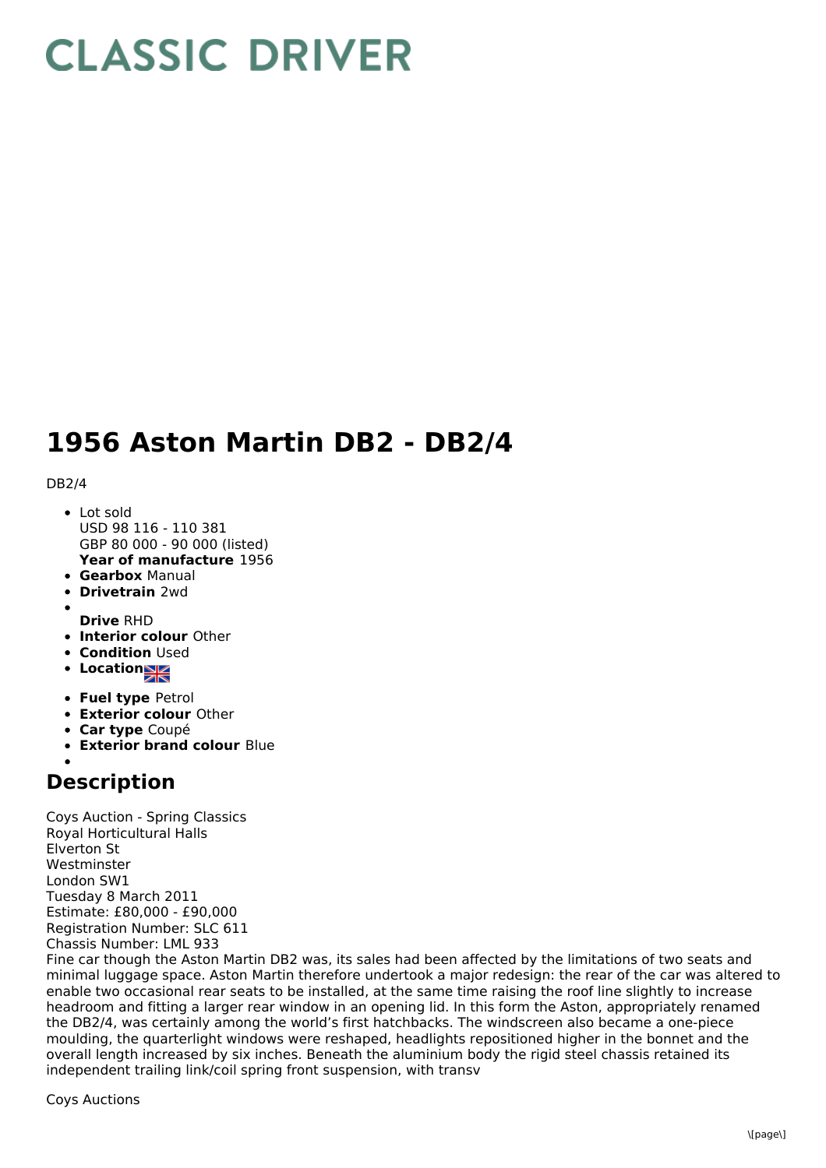# **CLASSIC DRIVER**

## **1956 Aston Martin DB2 - DB2/4**

#### DB2/4

- **Year of manufacture** 1956 Lot sold USD 98 116 - 110 381 GBP 80 000 - 90 000 (listed)
- **Gearbox** Manual
- **Drivetrain** 2wd
- **Drive** RHD
- **Interior colour** Other
- **Condition Used**
- **•** Location
- **Fuel type** Petrol
- **Exterior colour** Other
- **Car type** Coupé
- **Exterior brand colour** Blue

### **Description**

Coys Auction - Spring Classics Royal Horticultural Halls Elverton St Westminster London SW1 Tuesday 8 March 2011 Estimate: £80,000 - £90,000 Registration Number: SLC 611 Chassis Number: LML 933

Fine car though the Aston Martin DB2 was, its sales had been affected by the limitations of two seats and minimal luggage space. Aston Martin therefore undertook a major redesign: the rear of the car was altered to enable two occasional rear seats to be installed, at the same time raising the roof line slightly to increase headroom and fitting a larger rear window in an opening lid. In this form the Aston, appropriately renamed the DB2/4, was certainly among the world's first hatchbacks. The windscreen also became a one-piece moulding, the quarterlight windows were reshaped, headlights repositioned higher in the bonnet and the overall length increased by six inches. Beneath the aluminium body the rigid steel chassis retained its independent trailing link/coil spring front suspension, with transv

Coys Auctions